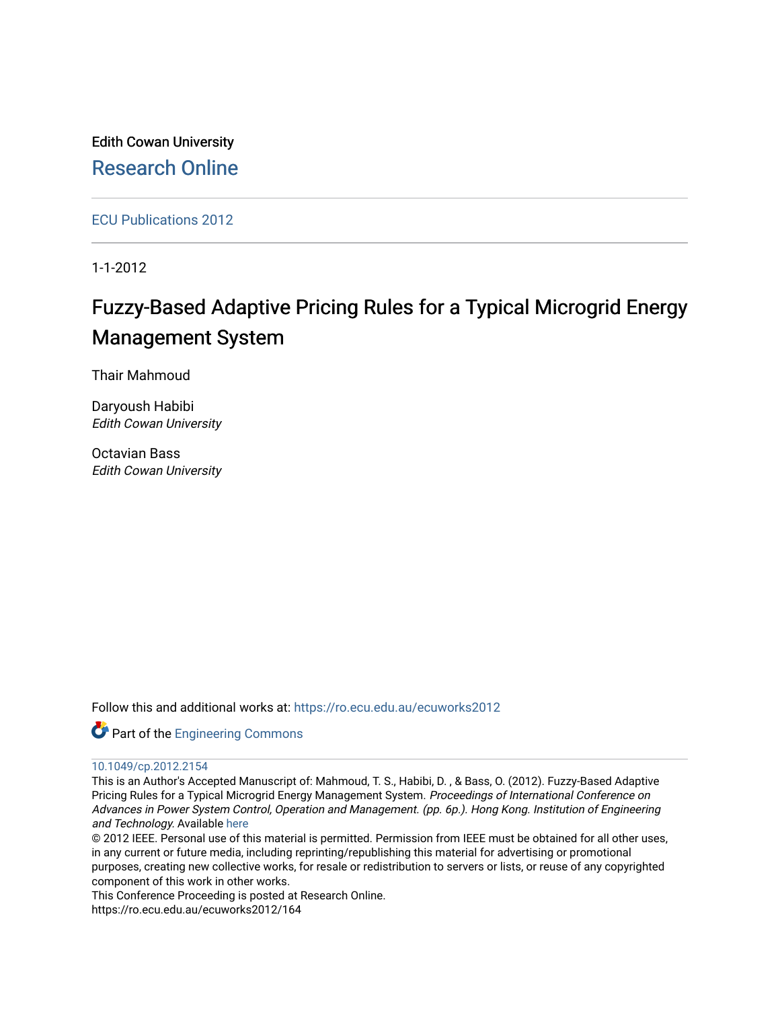Edith Cowan University [Research Online](https://ro.ecu.edu.au/) 

[ECU Publications 2012](https://ro.ecu.edu.au/ecuworks2012)

1-1-2012

# Fuzzy-Based Adaptive Pricing Rules for a Typical Microgrid Energy Management System

Thair Mahmoud

Daryoush Habibi Edith Cowan University

Octavian Bass Edith Cowan University

Follow this and additional works at: [https://ro.ecu.edu.au/ecuworks2012](https://ro.ecu.edu.au/ecuworks2012?utm_source=ro.ecu.edu.au%2Fecuworks2012%2F164&utm_medium=PDF&utm_campaign=PDFCoverPages) 

Part of the [Engineering Commons](http://network.bepress.com/hgg/discipline/217?utm_source=ro.ecu.edu.au%2Fecuworks2012%2F164&utm_medium=PDF&utm_campaign=PDFCoverPages)

# [10.1049/cp.2012.2154](http://dx.doi.org/10.1049/cp.2012.2154)

This is an Author's Accepted Manuscript of: Mahmoud, T. S., Habibi, D. , & Bass, O. (2012). Fuzzy-Based Adaptive Pricing Rules for a Typical Microgrid Energy Management System. Proceedings of International Conference on Advances in Power System Control, Operation and Management. (pp. 6p.). Hong Kong. Institution of Engineering and Technology. Available [here](https://doi.org/10.1049/cp.2012.2154)

© 2012 IEEE. Personal use of this material is permitted. Permission from IEEE must be obtained for all other uses, in any current or future media, including reprinting/republishing this material for advertising or promotional purposes, creating new collective works, for resale or redistribution to servers or lists, or reuse of any copyrighted component of this work in other works.

This Conference Proceeding is posted at Research Online.

https://ro.ecu.edu.au/ecuworks2012/164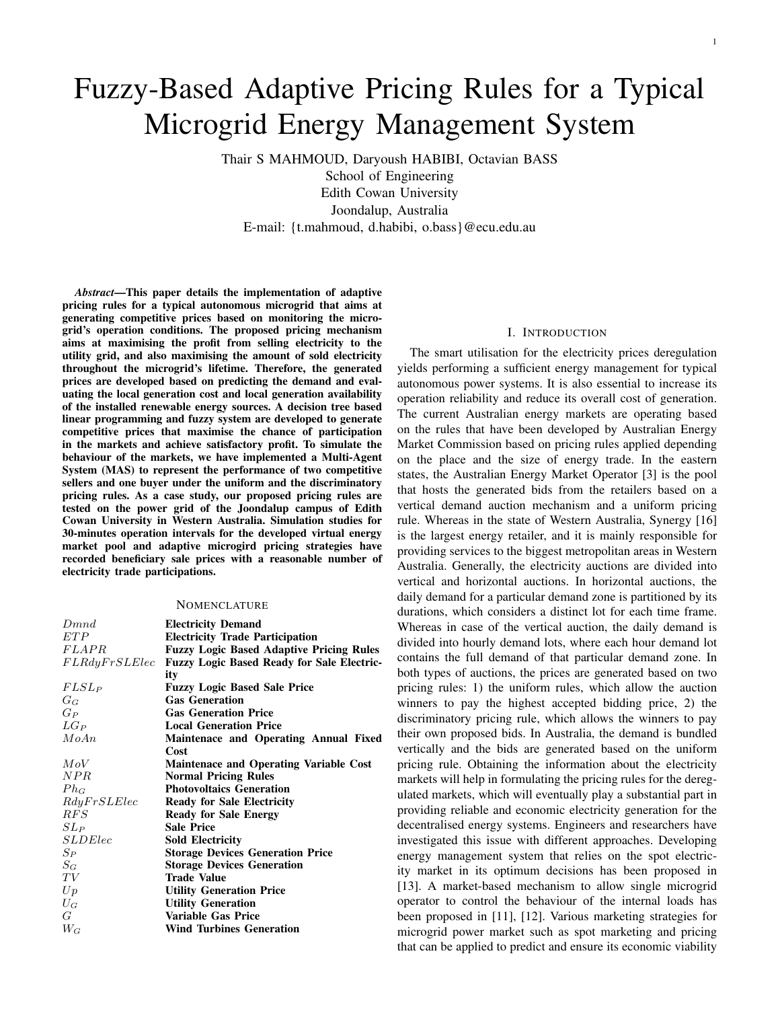# Fuzzy-Based Adaptive Pricing Rules for a Typical Microgrid Energy Management System

Thair S MAHMOUD, Daryoush HABIBI, Octavian BASS School of Engineering Edith Cowan University Joondalup, Australia E-mail: {t.mahmoud, d.habibi, o.bass}@ecu.edu.au

*Abstract*—This paper details the implementation of adaptive pricing rules for a typical autonomous microgrid that aims at generating competitive prices based on monitoring the microgrid's operation conditions. The proposed pricing mechanism aims at maximising the profit from selling electricity to the utility grid, and also maximising the amount of sold electricity throughout the microgrid's lifetime. Therefore, the generated prices are developed based on predicting the demand and evaluating the local generation cost and local generation availability of the installed renewable energy sources. A decision tree based linear programming and fuzzy system are developed to generate competitive prices that maximise the chance of participation in the markets and achieve satisfactory profit. To simulate the behaviour of the markets, we have implemented a Multi-Agent System (MAS) to represent the performance of two competitive sellers and one buyer under the uniform and the discriminatory pricing rules. As a case study, our proposed pricing rules are tested on the power grid of the Joondalup campus of Edith Cowan University in Western Australia. Simulation studies for 30-minutes operation intervals for the developed virtual energy market pool and adaptive microgird pricing strategies have recorded beneficiary sale prices with a reasonable number of electricity trade participations.

#### **NOMENCLATURE**

| Dmnd           | <b>Electricity Demand</b>                         |
|----------------|---------------------------------------------------|
| ET P           | <b>Electricity Trade Participation</b>            |
| <i>FLAPR</i>   | <b>Fuzzy Logic Based Adaptive Pricing Rules</b>   |
| FLRdyFrSLElec  | <b>Fuzzy Logic Based Ready for Sale Electric-</b> |
|                | ity                                               |
| $FLSL_P$       | <b>Fuzzy Logic Based Sale Price</b>               |
| $G_G$          | <b>Gas Generation</b>                             |
| $G_P$          | <b>Gas Generation Price</b>                       |
| $LG_P$         | <b>Local Generation Price</b>                     |
| MoAn           | Maintenace and Operating Annual Fixed             |
|                | Cost                                              |
| MoV            | <b>Maintenace and Operating Variable Cost</b>     |
| NPR            | <b>Normal Pricing Rules</b>                       |
| $Ph_G$         | <b>Photovoltaics Generation</b>                   |
| RdyFrSLElec    | <b>Ready for Sale Electricity</b>                 |
| RFS            | <b>Ready for Sale Energy</b>                      |
| $SL_P$         | <b>Sale Price</b>                                 |
| <i>SLDElec</i> | <b>Sold Electricity</b>                           |
| $S_P$          | <b>Storage Devices Generation Price</b>           |
| $S_G$          | <b>Storage Devices Generation</b>                 |
| TV             | <b>Trade Value</b>                                |
| Up             | <b>Utility Generation Price</b>                   |
| $U_G$          | <b>Utility Generation</b>                         |
| G              | <b>Variable Gas Price</b>                         |
| $W_G$          | <b>Wind Turbines Generation</b>                   |

#### I. INTRODUCTION

The smart utilisation for the electricity prices deregulation yields performing a sufficient energy management for typical autonomous power systems. It is also essential to increase its operation reliability and reduce its overall cost of generation. The current Australian energy markets are operating based on the rules that have been developed by Australian Energy Market Commission based on pricing rules applied depending on the place and the size of energy trade. In the eastern states, the Australian Energy Market Operator [3] is the pool that hosts the generated bids from the retailers based on a vertical demand auction mechanism and a uniform pricing rule. Whereas in the state of Western Australia, Synergy [16] is the largest energy retailer, and it is mainly responsible for providing services to the biggest metropolitan areas in Western Australia. Generally, the electricity auctions are divided into vertical and horizontal auctions. In horizontal auctions, the daily demand for a particular demand zone is partitioned by its durations, which considers a distinct lot for each time frame. Whereas in case of the vertical auction, the daily demand is divided into hourly demand lots, where each hour demand lot contains the full demand of that particular demand zone. In both types of auctions, the prices are generated based on two pricing rules: 1) the uniform rules, which allow the auction winners to pay the highest accepted bidding price, 2) the discriminatory pricing rule, which allows the winners to pay their own proposed bids. In Australia, the demand is bundled vertically and the bids are generated based on the uniform pricing rule. Obtaining the information about the electricity markets will help in formulating the pricing rules for the deregulated markets, which will eventually play a substantial part in providing reliable and economic electricity generation for the decentralised energy systems. Engineers and researchers have investigated this issue with different approaches. Developing energy management system that relies on the spot electricity market in its optimum decisions has been proposed in [13]. A market-based mechanism to allow single microgrid operator to control the behaviour of the internal loads has been proposed in [11], [12]. Various marketing strategies for microgrid power market such as spot marketing and pricing that can be applied to predict and ensure its economic viability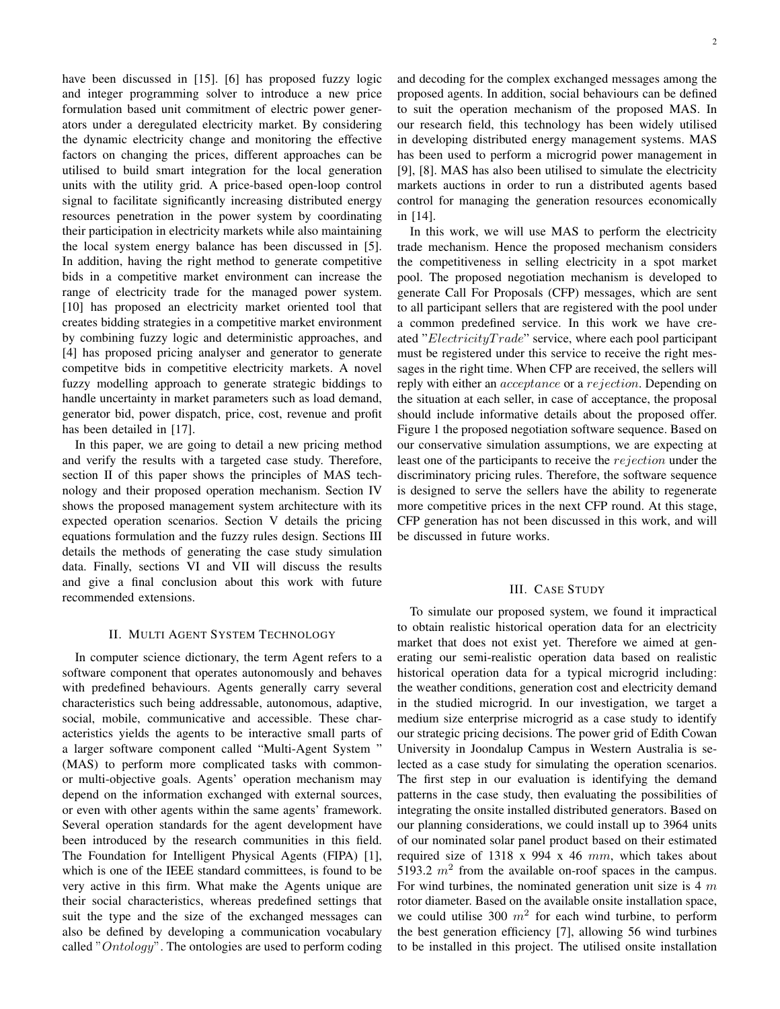have been discussed in [15]. [6] has proposed fuzzy logic and integer programming solver to introduce a new price formulation based unit commitment of electric power generators under a deregulated electricity market. By considering the dynamic electricity change and monitoring the effective factors on changing the prices, different approaches can be utilised to build smart integration for the local generation units with the utility grid. A price-based open-loop control signal to facilitate significantly increasing distributed energy resources penetration in the power system by coordinating their participation in electricity markets while also maintaining the local system energy balance has been discussed in [5]. In addition, having the right method to generate competitive bids in a competitive market environment can increase the range of electricity trade for the managed power system. [10] has proposed an electricity market oriented tool that creates bidding strategies in a competitive market environment by combining fuzzy logic and deterministic approaches, and [4] has proposed pricing analyser and generator to generate competitve bids in competitive electricity markets. A novel fuzzy modelling approach to generate strategic biddings to handle uncertainty in market parameters such as load demand, generator bid, power dispatch, price, cost, revenue and profit has been detailed in [17].

In this paper, we are going to detail a new pricing method and verify the results with a targeted case study. Therefore, section II of this paper shows the principles of MAS technology and their proposed operation mechanism. Section IV shows the proposed management system architecture with its expected operation scenarios. Section V details the pricing equations formulation and the fuzzy rules design. Sections III details the methods of generating the case study simulation data. Finally, sections VI and VII will discuss the results and give a final conclusion about this work with future recommended extensions.

## II. MULTI AGENT SYSTEM TECHNOLOGY

In computer science dictionary, the term Agent refers to a software component that operates autonomously and behaves with predefined behaviours. Agents generally carry several characteristics such being addressable, autonomous, adaptive, social, mobile, communicative and accessible. These characteristics yields the agents to be interactive small parts of a larger software component called "Multi-Agent System " (MAS) to perform more complicated tasks with commonor multi-objective goals. Agents' operation mechanism may depend on the information exchanged with external sources, or even with other agents within the same agents' framework. Several operation standards for the agent development have been introduced by the research communities in this field. The Foundation for Intelligent Physical Agents (FIPA) [1], which is one of the IEEE standard committees, is found to be very active in this firm. What make the Agents unique are their social characteristics, whereas predefined settings that suit the type and the size of the exchanged messages can also be defined by developing a communication vocabulary called "Ontology". The ontologies are used to perform coding and decoding for the complex exchanged messages among the proposed agents. In addition, social behaviours can be defined to suit the operation mechanism of the proposed MAS. In our research field, this technology has been widely utilised in developing distributed energy management systems. MAS has been used to perform a microgrid power management in [9], [8]. MAS has also been utilised to simulate the electricity markets auctions in order to run a distributed agents based control for managing the generation resources economically in [14].

In this work, we will use MAS to perform the electricity trade mechanism. Hence the proposed mechanism considers the competitiveness in selling electricity in a spot market pool. The proposed negotiation mechanism is developed to generate Call For Proposals (CFP) messages, which are sent to all participant sellers that are registered with the pool under a common predefined service. In this work we have created "ElectricityTrade" service, where each pool participant must be registered under this service to receive the right messages in the right time. When CFP are received, the sellers will reply with either an acceptance or a rejection. Depending on the situation at each seller, in case of acceptance, the proposal should include informative details about the proposed offer. Figure 1 the proposed negotiation software sequence. Based on our conservative simulation assumptions, we are expecting at least one of the participants to receive the *rejection* under the discriminatory pricing rules. Therefore, the software sequence is designed to serve the sellers have the ability to regenerate more competitive prices in the next CFP round. At this stage, CFP generation has not been discussed in this work, and will be discussed in future works.

# III. CASE STUDY

To simulate our proposed system, we found it impractical to obtain realistic historical operation data for an electricity market that does not exist yet. Therefore we aimed at generating our semi-realistic operation data based on realistic historical operation data for a typical microgrid including: the weather conditions, generation cost and electricity demand in the studied microgrid. In our investigation, we target a medium size enterprise microgrid as a case study to identify our strategic pricing decisions. The power grid of Edith Cowan University in Joondalup Campus in Western Australia is selected as a case study for simulating the operation scenarios. The first step in our evaluation is identifying the demand patterns in the case study, then evaluating the possibilities of integrating the onsite installed distributed generators. Based on our planning considerations, we could install up to 3964 units of our nominated solar panel product based on their estimated required size of 1318 x 994 x 46 mm, which takes about 5193.2  $m^2$  from the available on-roof spaces in the campus. For wind turbines, the nominated generation unit size is  $4 \, m$ rotor diameter. Based on the available onsite installation space, we could utilise 300  $m^2$  for each wind turbine, to perform the best generation efficiency [7], allowing 56 wind turbines to be installed in this project. The utilised onsite installation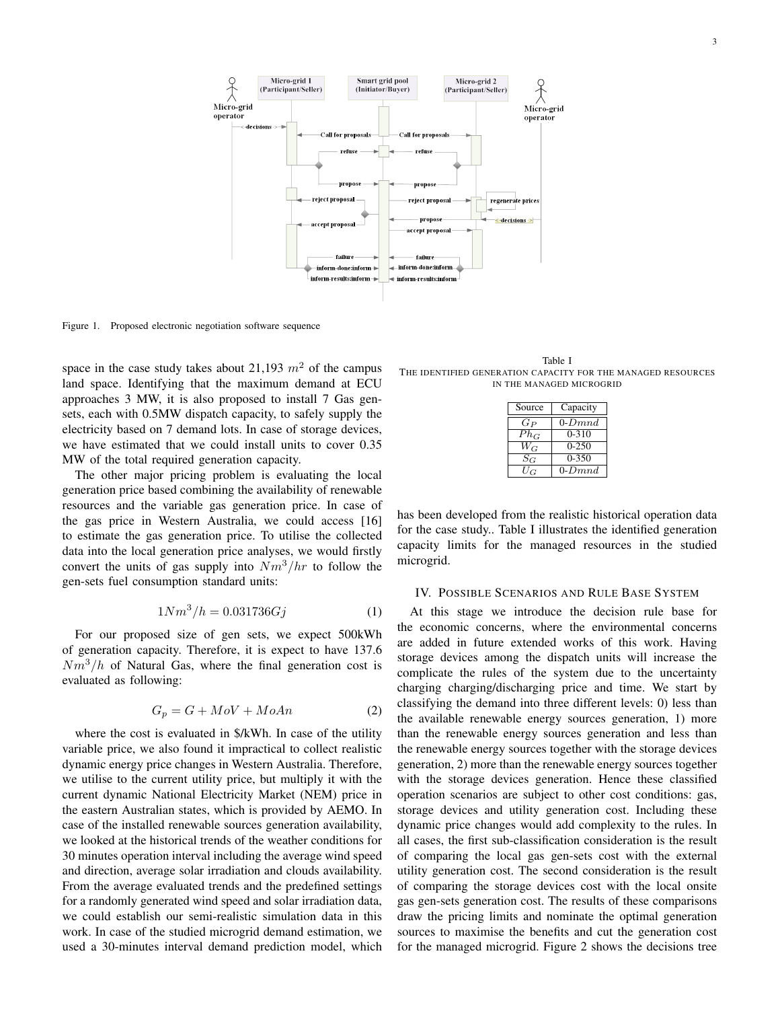

Figure 1. Proposed electronic negotiation software sequence

space in the case study takes about 21,193  $m<sup>2</sup>$  of the campus land space. Identifying that the maximum demand at ECU approaches 3 MW, it is also proposed to install 7 Gas gensets, each with 0.5MW dispatch capacity, to safely supply the electricity based on 7 demand lots. In case of storage devices, we have estimated that we could install units to cover 0.35 MW of the total required generation capacity.

The other major pricing problem is evaluating the local generation price based combining the availability of renewable resources and the variable gas generation price. In case of the gas price in Western Australia, we could access [16] to estimate the gas generation price. To utilise the collected data into the local generation price analyses, we would firstly convert the units of gas supply into  $Nm^3/hr$  to follow the gen-sets fuel consumption standard units:

$$
1Nm^3/h = 0.031736Gj \tag{1}
$$

For our proposed size of gen sets, we expect 500kWh of generation capacity. Therefore, it is expect to have 137.6  $Nm^3/h$  of Natural Gas, where the final generation cost is evaluated as following:

$$
G_p = G + MoV + MoAn \tag{2}
$$

where the cost is evaluated in \$/kWh. In case of the utility variable price, we also found it impractical to collect realistic dynamic energy price changes in Western Australia. Therefore, we utilise to the current utility price, but multiply it with the current dynamic National Electricity Market (NEM) price in the eastern Australian states, which is provided by AEMO. In case of the installed renewable sources generation availability, we looked at the historical trends of the weather conditions for 30 minutes operation interval including the average wind speed and direction, average solar irradiation and clouds availability. From the average evaluated trends and the predefined settings for a randomly generated wind speed and solar irradiation data, we could establish our semi-realistic simulation data in this work. In case of the studied microgrid demand estimation, we used a 30-minutes interval demand prediction model, which

Table I THE IDENTIFIED GENERATION CAPACITY FOR THE MANAGED RESOURCES IN THE MANAGED MICROGRID

| Source        | Capacity        |
|---------------|-----------------|
| $G_P$         | $0$ - $Dmnd$    |
| $Ph_G$        | $0 - 310$       |
| $\bar{W}_{G}$ | $0 - 250$       |
| $S_G$         | $0 - 350$       |
| $U_G$         | $0\text{-}Dmnd$ |

has been developed from the realistic historical operation data for the case study.. Table I illustrates the identified generation capacity limits for the managed resources in the studied microgrid.

#### IV. POSSIBLE SCENARIOS AND RULE BASE SYSTEM

At this stage we introduce the decision rule base for the economic concerns, where the environmental concerns are added in future extended works of this work. Having storage devices among the dispatch units will increase the complicate the rules of the system due to the uncertainty charging charging/discharging price and time. We start by classifying the demand into three different levels: 0) less than the available renewable energy sources generation, 1) more than the renewable energy sources generation and less than the renewable energy sources together with the storage devices generation, 2) more than the renewable energy sources together with the storage devices generation. Hence these classified operation scenarios are subject to other cost conditions: gas, storage devices and utility generation cost. Including these dynamic price changes would add complexity to the rules. In all cases, the first sub-classification consideration is the result of comparing the local gas gen-sets cost with the external utility generation cost. The second consideration is the result of comparing the storage devices cost with the local onsite gas gen-sets generation cost. The results of these comparisons draw the pricing limits and nominate the optimal generation sources to maximise the benefits and cut the generation cost for the managed microgrid. Figure 2 shows the decisions tree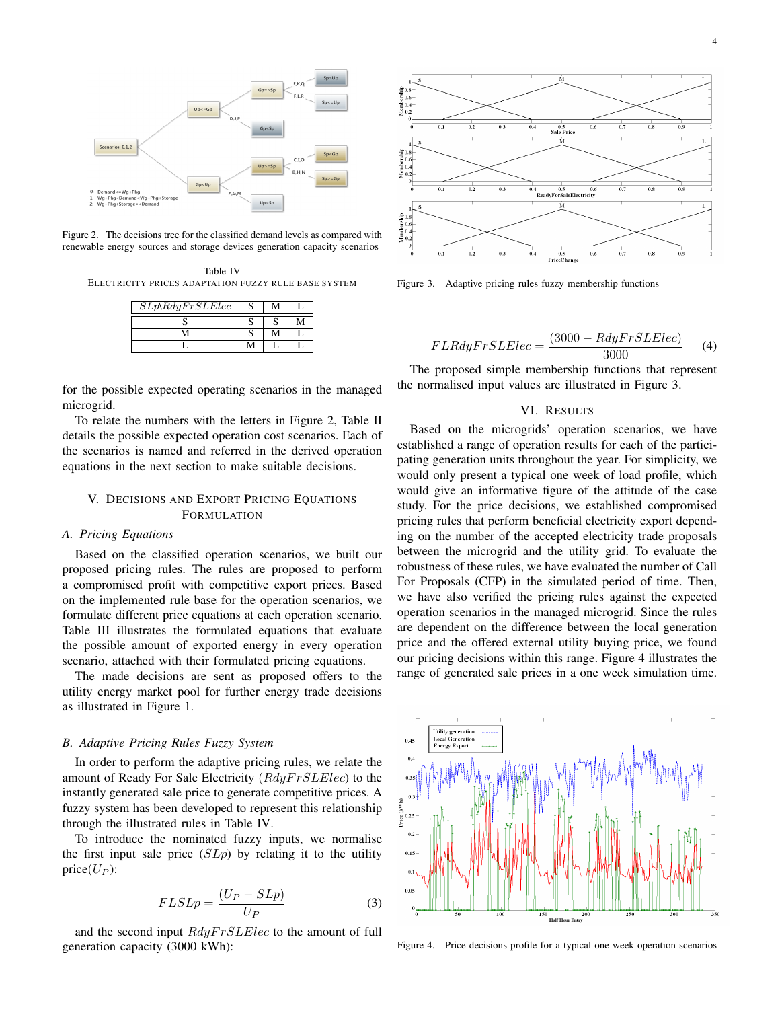

Figure 2. The decisions tree for the classified demand levels as compared with renewable energy sources and storage devices generation capacity scenarios

Table IV ELECTRICITY PRICES ADAPTATION FUZZY RULE BASE SYSTEM

| $SLp\&RdyFrSLElec$ |  |  |
|--------------------|--|--|
|                    |  |  |
|                    |  |  |
|                    |  |  |

for the possible expected operating scenarios in the managed microgrid.

To relate the numbers with the letters in Figure 2, Table II details the possible expected operation cost scenarios. Each of the scenarios is named and referred in the derived operation equations in the next section to make suitable decisions.

# V. DECISIONS AND EXPORT PRICING EQUATIONS FORMULATION

# *A. Pricing Equations*

Based on the classified operation scenarios, we built our proposed pricing rules. The rules are proposed to perform a compromised profit with competitive export prices. Based on the implemented rule base for the operation scenarios, we formulate different price equations at each operation scenario. Table III illustrates the formulated equations that evaluate the possible amount of exported energy in every operation scenario, attached with their formulated pricing equations.

The made decisions are sent as proposed offers to the utility energy market pool for further energy trade decisions as illustrated in Figure 1.

#### *B. Adaptive Pricing Rules Fuzzy System*

In order to perform the adaptive pricing rules, we relate the amount of Ready For Sale Electricity  $(RdyFr S L Elec)$  to the instantly generated sale price to generate competitive prices. A fuzzy system has been developed to represent this relationship through the illustrated rules in Table IV.

To introduce the nominated fuzzy inputs, we normalise the first input sale price  $(SLp)$  by relating it to the utility price $(U_P)$ :

$$
FLSLp = \frac{(U_P - SLp)}{U_P} \tag{3}
$$

and the second input  $RdyFrSLElec$  to the amount of full generation capacity (3000 kWh):



Figure 3. Adaptive pricing rules fuzzy membership functions

$$
FLRdyFrSLElec = \frac{(3000 - RdyFrSLElec)}{3000}
$$
 (4)

The proposed simple membership functions that represent the normalised input values are illustrated in Figure 3.

## VI. RESULTS

Based on the microgrids' operation scenarios, we have established a range of operation results for each of the participating generation units throughout the year. For simplicity, we would only present a typical one week of load profile, which would give an informative figure of the attitude of the case study. For the price decisions, we established compromised pricing rules that perform beneficial electricity export depending on the number of the accepted electricity trade proposals between the microgrid and the utility grid. To evaluate the robustness of these rules, we have evaluated the number of Call For Proposals (CFP) in the simulated period of time. Then, we have also verified the pricing rules against the expected operation scenarios in the managed microgrid. Since the rules are dependent on the difference between the local generation price and the offered external utility buying price, we found our pricing decisions within this range. Figure 4 illustrates the range of generated sale prices in a one week simulation time.



Figure 4. Price decisions profile for a typical one week operation scenarios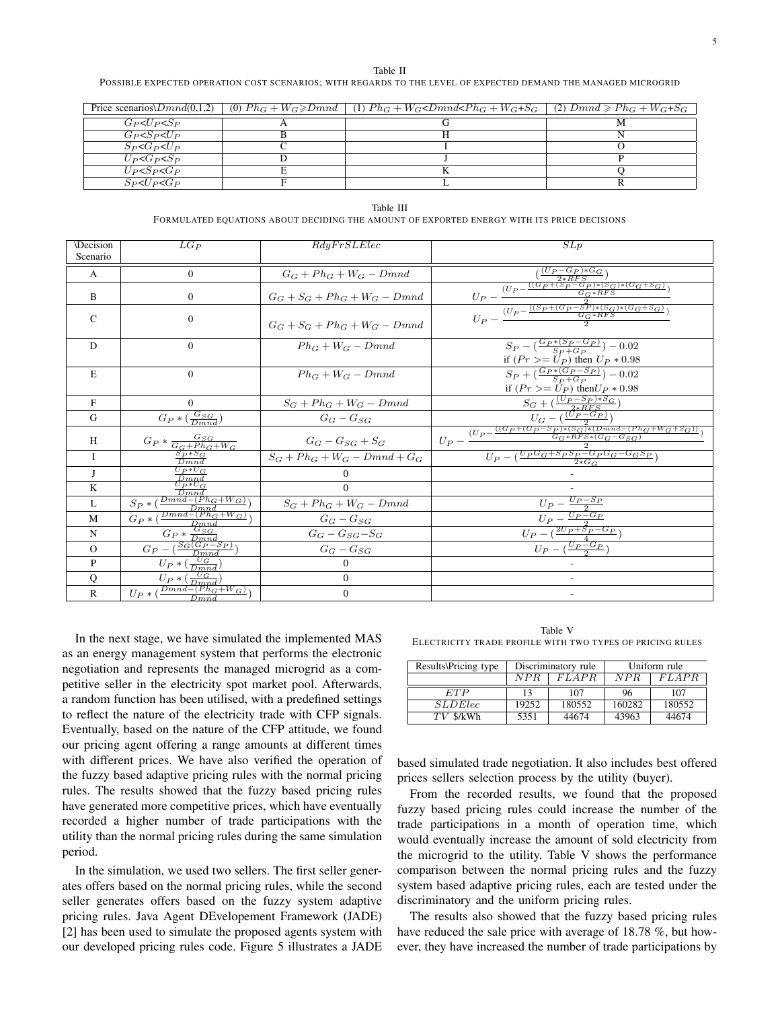Table II

POSSIBLE EXPECTED OPERATION COST SCENARIOS; WITH REGARDS TO THE LEVEL OF EXPECTED DEMAND THE MANAGED MICROGRID

| Price scenarios $Dmnd(0,1,2)$             | (0) $Ph_G + W_G \geq Dmnd$   (1) $Ph_G + W_G \leq Dmnd \leq Ph_G + W_G + S_G$   (2) $Dmnd \geq Ph_G + W_G + S_G$ |  |
|-------------------------------------------|------------------------------------------------------------------------------------------------------------------|--|
| $G_P$ < $U_P$ < $S_P$                     |                                                                                                                  |  |
| $G_P < S_P < U_P$                         |                                                                                                                  |  |
| $S_P < G_P < U_P$                         |                                                                                                                  |  |
| $U_P \triangleleft G_P \triangleleft S_P$ |                                                                                                                  |  |
| $U_P < S_P < G_P$                         |                                                                                                                  |  |
| $S_P < U_P < G_P$                         |                                                                                                                  |  |

Table III FORMULATED EQUATIONS ABOUT DECIDING THE AMOUNT OF EXPORTED ENERGY WITH ITS PRICE DECISIONS

| Decision<br>Scenario | $LG_P$                                                                            | RdyFrSLElec                     | SLp                                                                                                                                                                                                                       |
|----------------------|-----------------------------------------------------------------------------------|---------------------------------|---------------------------------------------------------------------------------------------------------------------------------------------------------------------------------------------------------------------------|
| $\mathbf{A}$         | $\mathbf{0}$                                                                      | $G_G + Ph_G + W_G - Dmnd$       |                                                                                                                                                                                                                           |
| B                    | $\theta$                                                                          | $G_G + S_G + Ph_G + W_G - Dmnd$ | $\frac{(\frac{(U_{P}-G_{P})*G_{G}}{2*RFS})}{U_{P}-\frac{(U_{P}-\frac{((G_{P}+(S_{P}-G_{P})* (S_{G})* (G_{G}+S_{G})}{G_{G}*RFS})}{G_{G}*RFS}}{U_{P}-\frac{((S_{P}+(G_{P}-S_{P})* (S_{G})* (G_{G}+S_{G})}{G_{G}*RFS})}{2}}$ |
| $\mathcal{C}$        | $\mathbf{0}$                                                                      | $G_C + S_C + Ph_C + W_C - Dmnd$ |                                                                                                                                                                                                                           |
| D                    | $\theta$                                                                          | $Ph_C + W_C - Dmnd$             | $S_P - (\frac{G_P * (S_P - G_P)}{S_P + G_P}) - 0.02$<br>if $(Pr \ge U_P)$ then $U_P * 0.98$                                                                                                                               |
| E                    | $\Omega$                                                                          | $Ph_C + W_C - Dmnd$             | $S_P + (\frac{G_P * (G_P - S_P)}{S_P + G_P}) - 0.02$<br>if $(Pr \geq U_P)$ then $U_P * 0.98$                                                                                                                              |
| F                    | $\Omega$                                                                          | $S_G + Ph_G + W_G - Dmnd$       |                                                                                                                                                                                                                           |
| G                    | $G_P*(\frac{G_{SG}}{Dmnd})$                                                       | $G_G-G_{SG}$                    |                                                                                                                                                                                                                           |
| H                    | $\frac{G_{P}*\frac{G_{SG}}{G_{G}+Ph_{G}+W_{G}}}{\frac{S_{P}*S_{G}}{S_{P}+S_{G}}}$ | $G_G - G_{SG} + S_G$            | $\frac{G + (\frac{(Up-Sp)*S_G}{2*RFS})}{U_G - (\frac{(Up-G_P)}{2*RFS})} \\ \frac{U_G - (\frac{(Up-G_P)}{2*RFS})}{U_P - \frac{((G_P + (G_P-S_P)* (S_G)* (Dmnd - (Ph_G + W_G + S_G))}{G_G * RFS*(G_G - G_{SG})})}$          |
| I                    | $\overline{Dmnd}$                                                                 | $S_G + Ph_G + W_G - Dmnd + G_G$ | $U_P - (\frac{U_P G_G + S_P S_P - G_P G_G - G_G S_P}{2*G_G})$                                                                                                                                                             |
| J                    | $U_P * U_G$<br>$\overline{\frac{Dmnd}{D_{P}*U_G}}$                                | $\theta$                        |                                                                                                                                                                                                                           |
| K                    | $\frac{\overline{Dmnd}}{\overline{Dmnd-(Ph_G+W_G)}}$                              | $\Omega$                        |                                                                                                                                                                                                                           |
| $\mathbf{L}$         | $S_P * ($<br>$\overline{Dmnd}$                                                    | $S_G + Ph_G + W_G - Dmnd$       |                                                                                                                                                                                                                           |
| M                    | $G_P * (\frac{Dmnd - (Ph_G + W_G)}{Dmnd})$                                        | $G_G - G_{SG}$                  | $\begin{tabular}{c c} \hline & $U_P-\frac{U_P-S_P}{2}$ \\ \hline & $U_P-\frac{U_P-G_P}{2}$ \\ \hline \hline $U_P-\left(\frac{2U_P+S_P-G_P}{4}\right)$ \\ \hline \end{tabular}$                                            |
| $\mathbf N$          | $G_P * \frac{G_{SG}}{D_{mnd}}$                                                    | $G_G - G_{SG} - S_G$            |                                                                                                                                                                                                                           |
| $\Omega$             |                                                                                   | ${\cal G}_G-{\cal G}_{SG}$      | $U_P - (\frac{U_P - G_P}{2})$                                                                                                                                                                                             |
| P                    | $\frac{G_P - ( \frac{S_G(G_P - S_P)}{Dmnd} )}{U_P * ( \frac{U_G}{Dmnd} )}$        | $\mathbf{0}$                    |                                                                                                                                                                                                                           |
| Q                    | $U_P * (\frac{U_G}{D_{mnd}})$                                                     | $\boldsymbol{0}$                |                                                                                                                                                                                                                           |
| $\mathbb{R}$         | $U_P * (\frac{Dmnd - (Ph_G + W_G)}{Dmnd})$                                        | $\boldsymbol{0}$                |                                                                                                                                                                                                                           |

In the next stage, we have simulated the implemented MAS as an energy management system that performs the electronic negotiation and represents the managed microgrid as a competitive seller in the electricity spot market pool. Afterwards, a random function has been utilised, with a predefined settings to reflect the nature of the electricity trade with CFP signals. Eventually, based on the nature of the CFP attitude, we found our pricing agent offering a range amounts at different times with different prices. We have also verified the operation of the fuzzy based adaptive pricing rules with the normal pricing rules. The results showed that the fuzzy based pricing rules have generated more competitive prices, which have eventually recorded a higher number of trade participations with the utility than the normal pricing rules during the same simulation period.

In the simulation, we used two sellers. The first seller generates offers based on the normal pricing rules, while the second seller generates offers based on the fuzzy system adaptive pricing rules. Java Agent DEvelopement Framework (JADE) [2] has been used to simulate the proposed agents system with our developed pricing rules code. Figure 5 illustrates a JADE

Table V ELECTRICITY TRADE PROFILE WITH TWO TYPES OF PRICING RULES

| Results\Pricing type | Discriminatory rule |              | Uniform rule |              |
|----------------------|---------------------|--------------|--------------|--------------|
|                      | NPR.                | <i>FLAPR</i> | NPR.         | <i>FLAPR</i> |
| ETP                  | 13                  | 107          | 96           | 107          |
| <i>SLDElec</i>       | 19252               | 180552       | 160282       | 180552       |
| $TV$ \$/kWh          | 5351                | 44674        | 43963        | 44674        |

based simulated trade negotiation. It also includes best offered prices sellers selection process by the utility (buyer).

From the recorded results, we found that the proposed fuzzy based pricing rules could increase the number of the trade participations in a month of operation time, which would eventually increase the amount of sold electricity from the microgrid to the utility. Table V shows the performance comparison between the normal pricing rules and the fuzzy system based adaptive pricing rules, each are tested under the discriminatory and the uniform pricing rules.

The results also showed that the fuzzy based pricing rules have reduced the sale price with average of 18.78 %, but however, they have increased the number of trade participations by